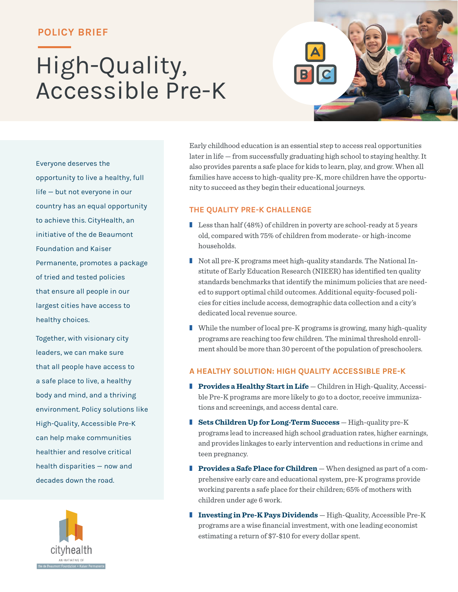### **POLICY BRIEF**

# High-Quality, Accessible Pre-K

Everyone deserves the opportunity to live a healthy, full life — but not everyone in our country has an equal opportunity to achieve this. CityHealth, an initiative of the de Beaumont Foundation and Kaiser Permanente, promotes a package of tried and tested policies that ensure all people in our largest cities have access to healthy choices.

Together, with visionary city leaders, we can make sure that all people have access to a safe place to live, a healthy body and mind, and a thriving environment. Policy solutions like High-Quality, Accessible Pre-K can help make communities healthier and resolve critical health disparities — now and decades down the road.



Early childhood education is an essential step to access real opportunities later in life — from successfully graduating high school to staying healthy. It also provides parents a safe place for kids to learn, play, and grow. When all families have access to high-quality pre-K, more children have the opportunity to succeed as they begin their educational journeys.

#### **THE QUALITY PRE-K CHALLENGE**

- **Less than half (48%) of children in poverty are school-ready at 5 years** old, compared with 75% of children from moderate- or high-income households.
- Not all pre-K programs meet high-quality standards. The National Institute of Early Education Research (NIEER) has identified ten quality standards benchmarks that identify the minimum policies that are needed to support optimal child outcomes. Additional equity-focused policies for cities include access, demographic data collection and a city's dedicated local revenue source.
- While the number of local pre-K programs is growing, many high-quality programs are reaching too few children. The minimal threshold enrollment should be more than 30 percent of the population of preschoolers.

#### **A HEALTHY SOLUTION: HIGH QUALITY ACCESSIBLE PRE-K**

- **Provides a Healthy Start in Life** Children in High-Quality, Accessible Pre-K programs are more likely to go to a doctor, receive immunizations and screenings, and access dental care.
- **Sets Children Up for Long-Term Success** High-quality pre-K programs lead to increased high school graduation rates, higher earnings, and provides linkages to early intervention and reductions in crime and teen pregnancy.
- **Provides a Safe Place for Children** When designed as part of a comprehensive early care and educational system, pre-K programs provide working parents a safe place for their children; 65% of mothers with children under age 6 work.
- **Investing in Pre-K Pays Dividends** High-Quality, Accessible Pre-K programs are a wise financial investment, with one leading economist estimating a return of \$7-\$10 for every dollar spent.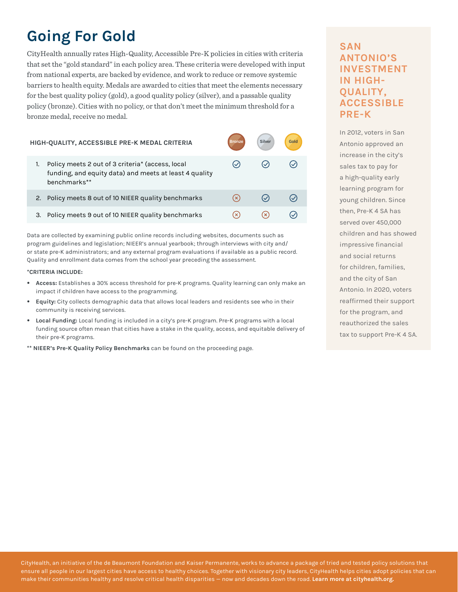# **Going For Gold**

CityHealth annually rates High-Quality, Accessible Pre-K policies in cities with criteria that set the "gold standard" in each policy area. These criteria were developed with input from national experts, are backed by evidence, and work to reduce or remove systemic barriers to health equity. Medals are awarded to cities that meet the elements necessary for the best quality policy (gold), a good quality policy (silver), and a passable quality policy (bronze). Cities with no policy, or that don't meet the minimum threshold for a bronze medal, receive no medal.

| HIGH-QUALITY, ACCESSIBLE PRE-K MEDAL CRITERIA                                                                                    | Bronze | Silver | Gold |
|----------------------------------------------------------------------------------------------------------------------------------|--------|--------|------|
| Policy meets 2 out of 3 criteria* (access, local<br>1.<br>funding, and equity data) and meets at least 4 quality<br>benchmarks** |        |        |      |
| Policy meets 8 out of 10 NIEER quality benchmarks                                                                                |        |        |      |
| Policy meets 9 out of 10 NIEER quality benchmarks<br>З.                                                                          |        |        |      |

Data are collected by examining public online records including websites, documents such as program guidelines and legislation; NIEER's annual yearbook; through interviews with city and/ or state pre-K administrators; and any external program evaluations if available as a public record. Quality and enrollment data comes from the school year preceding the assessment.

#### **\*CRITERIA INCLUDE:**

- **Access:** Establishes a 30% access threshold for pre-K programs. Quality learning can only make an impact if children have access to the programming.
- **Equity:** City collects demographic data that allows local leaders and residents see who in their community is receiving services.
- **Local Funding:** Local funding is included in a city's pre-K program. Pre-K programs with a local funding source often mean that cities have a stake in the quality, access, and equitable delivery of their pre-K programs.
- **\*\* NIEER's Pre-K Quality Policy Benchmarks** can be found on the proceeding page.

## **SAN ANTONIO'S INVESTMENT IN HIGH-QUALITY, ACCESSIBLE PRE-K**

In 2012, voters in San Antonio approved an increase in the city's sales tax to pay for a high-quality early learning program for young children. Since then, Pre-K 4 SA has served over 450,000 children and has showed impressive financial and social returns for children, families, and the city of San Antonio. In 2020, voters reaffirmed their support for the program, and reauthorized the sales tax to support Pre-K 4 SA.

CityHealth, an initiative of the de Beaumont Foundation and Kaiser Permanente, works to advance a package of tried and tested policy solutions that ensure all people in our largest cities have access to healthy choices. Together with visionary city leaders, CityHealth helps cities adopt policies that can make their communities healthy and resolve critical health disparities — now and decades down the road. **Learn more at [cityhealth.org](http://cityhealth.org).**